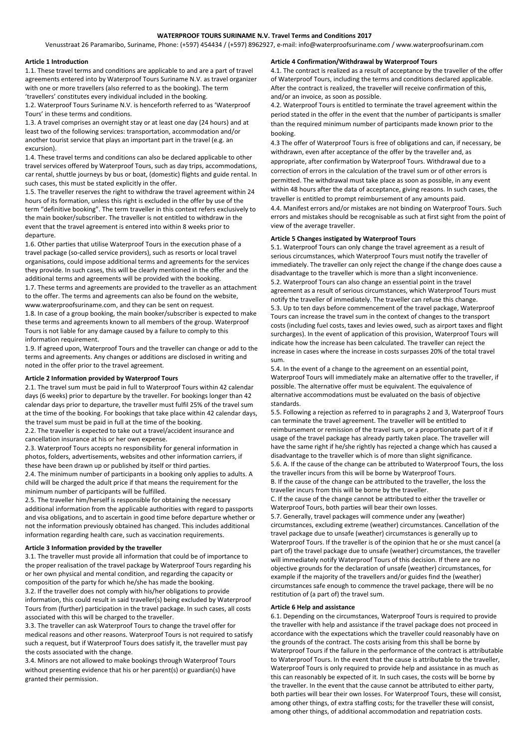# **WATERPROOF TOURS SURINAME N.V. Travel Terms and Conditions 2017**

Venusstraat 26 Paramaribo, Suriname, Phone: (+597) 454434 / (+597) 8962927, e-mail: info@waterproofsuriname.com / www.waterproofsurinam.com

### **Article 1 Introduction**

1.1. These travel terms and conditions are applicable to and are a part of travel agreements entered into by Waterproof Tours Suriname N.V. as travel organizer with one or more travellers (also referred to as the booking). The term 'travellers' constitutes every individual included in the booking.

1.2. Waterproof Tours Suriname N.V. is henceforth referred to as 'Waterproof Tours' in these terms and conditions.

1.3. A travel comprises an overnight stay or at least one day (24 hours) and at least two of the following services: transportation, accommodation and/or another tourist service that plays an important part in the travel (e.g. an excursion).

1.4. These travel terms and conditions can also be declared applicable to other travel services offered by Waterproof Tours, such as day trips, accommodations, car rental, shuttle journeys by bus or boat, (domestic) flights and guide rental. In such cases, this must be stated explicitly in the offer.

1.5. The traveller reserves the right to withdraw the travel agreement within 24 hours of its formation, unless this right is excluded in the offer by use of the term "definitive booking". The term traveller in this context refers exclusively to the main booker/subscriber. The traveller is not entitled to withdraw in the event that the travel agreement is entered into within 8 weeks prior to departure.

1.6. Other parties that utilise Waterproof Tours in the execution phase of a travel package (so-called service providers), such as resorts or local travel organisations, could impose additional terms and agreements for the services they provide. In such cases, this will be clearly mentioned in the offer and the additional terms and agreements will be provided with the booking.

1.7. These terms and agreements are provided to the traveller as an attachment to the offer. The terms and agreements can also be found on the website, www.waterproofsuriname.com, and they can be sent on request.

1.8. In case of a group booking, the main booker/subscriber is expected to make these terms and agreements known to all members of the group. Waterproof Tours is not liable for any damage caused by a failure to comply to this information requirement.

1.9. If agreed upon, Waterproof Tours and the traveller can change or add to the terms and agreements. Any changes or additions are disclosed in writing and noted in the offer prior to the travel agreement.

## **Article 2 Information provided by Waterproof Tours**

2.1. The travel sum must be paid in full to Waterproof Tours within 42 calendar days (6 weeks) prior to departure by the traveller. For bookings longer than 42 calendar days prior to departure, the traveller must fulfil 25% of the travel sum at the time of the booking. For bookings that take place within 42 calendar days, the travel sum must be paid in full at the time of the booking.

2.2. The traveller is expected to take out a travel/accident insurance and cancellation insurance at his or her own expense.

2.3. Waterproof Tours accepts no responsibility for general information in photos, folders, advertisements, websites and other information carriers, if these have been drawn up or published by itself or third parties.

2.4. The minimum number of participants in a booking only applies to adults. A child will be charged the adult price if that means the requirement for the minimum number of participants will be fulfilled.

2.5. The traveller him/herself is responsible for obtaining the necessary additional information from the applicable authorities with regard to passports and visa obligations, and to ascertain in good time before departure whether or not the information previously obtained has changed. This includes additional information regarding health care, such as vaccination requirements.

#### **Article 3 Information provided by the traveller**

3.1. The traveller must provide all information that could be of importance to the proper realisation of the travel package by Waterproof Tours regarding his or her own physical and mental condition, and regarding the capacity or composition of the party for which he/she has made the booking. 3.2. If the traveller does not comply with his/her obligations to provide information, this could result in said traveller(s) being excluded by Waterproof Tours from (further) participation in the travel package. In such cases, all costs associated with this will be charged to the traveller.

3.3. The traveller can ask Waterproof Tours to change the travel offer for medical reasons and other reasons. Waterproof Tours is not required to satisfy such a request, but if Waterproof Tours does satisfy it, the traveller must pay the costs associated with the change.

3.4. Minors are not allowed to make bookings through Waterproof Tours without presenting evidence that his or her parent(s) or guardian(s) have granted their permission.

## **Article 4 Confirmation/Withdrawal by Waterproof Tours**

4.1. The contract is realized as a result of acceptance by the traveller of the offer of Waterproof Tours, including the terms and conditions declared applicable. After the contract is realized, the traveller will receive confirmation of this, and/or an invoice, as soon as possible.

4.2. Waterproof Tours is entitled to terminate the travel agreement within the period stated in the offer in the event that the number of participants is smaller than the required minimum number of participants made known prior to the booking.

4.3 The offer of Waterproof Tours is free of obligations and can, if necessary, be withdrawn, even after acceptance of the offer by the traveller and, as appropriate, after confirmation by Waterproof Tours. Withdrawal due to a correction of errors in the calculation of the travel sum or of other errors is permitted. The withdrawal must take place as soon as possible, in any event within 48 hours after the data of acceptance, giving reasons. In such cases, the traveller is entitled to prompt reimbursement of any amounts paid. 4.4. Manifest errors and/or mistakes are not binding on Waterproof Tours. Such errors and mistakes should be recognisable as such at first sight from the point of view of the average traveller.

#### **Article 5 Changes instigated by Waterproof Tours**

5.1. Waterproof Tours can only change the travel agreement as a result of serious circumstances, which Waterproof Tours must notify the traveller of immediately. The traveller can only reject the change if the change does cause a disadvantage to the traveller which is more than a slight inconvenience. 5.2. Waterproof Tours can also change an essential point in the travel agreement as a result of serious circumstances, which Waterproof Tours must notify the traveller of immediately. The traveller can refuse this change. 5.3. Up to ten days before commencement of the travel package, Waterproof Tours can increase the travel sum in the context of changes to the transport costs (including fuel costs, taxes and levies owed, such as airport taxes and flight surcharges). In the event of application of this provision, Waterproof Tours will indicate how the increase has been calculated. The traveller can reject the increase in cases where the increase in costs surpasses 20% of the total travel sum.

5.4. In the event of a change to the agreement on an essential point, Waterproof Tours will immediately make an alternative offer to the traveller, if possible. The alternative offer must be equivalent. The equivalence of alternative accommodations must be evaluated on the basis of objective standards.

5.5. Following a rejection as referred to in paragraphs 2 and 3, Waterproof Tours can terminate the travel agreement. The traveller will be entitled to reimbursement or remission of the travel sum, or a proportionate part of it if usage of the travel package has already partly taken place. The traveller will have the same right if he/she rightly has rejected a change which has caused a disadvantage to the traveller which is of more than slight significance. 5.6. A. If the cause of the change can be attributed to Waterproof Tours, the loss the traveller incurs from this will be borne by Waterproof Tours. B. If the cause of the change can be attributed to the traveller, the loss the traveller incurs from this will be borne by the traveller.

C. If the cause of the change cannot be attributed to either the traveller or Waterproof Tours, both parties will bear their own losses.

5.7. Generally, travel packages will commence under any (weather) circumstances, excluding extreme (weather) circumstances. Cancellation of the travel package due to unsafe (weather) circumstances is generally up to Waterproof Tours. If the traveller is of the opinion that he or she must cancel (a part of) the travel package due to unsafe (weather) circumstances, the traveller will immediately notify Waterproof Tours of this decision. If there are no objective grounds for the declaration of unsafe (weather) circumstances, for example if the majority of the travellers and/or guides find the (weather) circumstances safe enough to commence the travel package, there will be no restitution of (a part of) the travel sum.

### **Article 6 Help and assistance**

6.1. Depending on the circumstances, Waterproof Tours is required to provide the traveller with help and assistance if the travel package does not proceed in accordance with the expectations which the traveller could reasonably have on the grounds of the contract. The costs arising from this shall be borne by Waterproof Tours if the failure in the performance of the contract is attributable to Waterproof Tours. In the event that the cause is attributable to the traveller, Waterproof Tours is only required to provide help and assistance in as much as this can reasonably be expected of it. In such cases, the costs will be borne by the traveller. In the event that the cause cannot be attributed to either party, both parties will bear their own losses. For Waterproof Tours, these will consist, among other things, of extra staffing costs; for the traveller these will consist, among other things, of additional accommodation and repatriation costs.